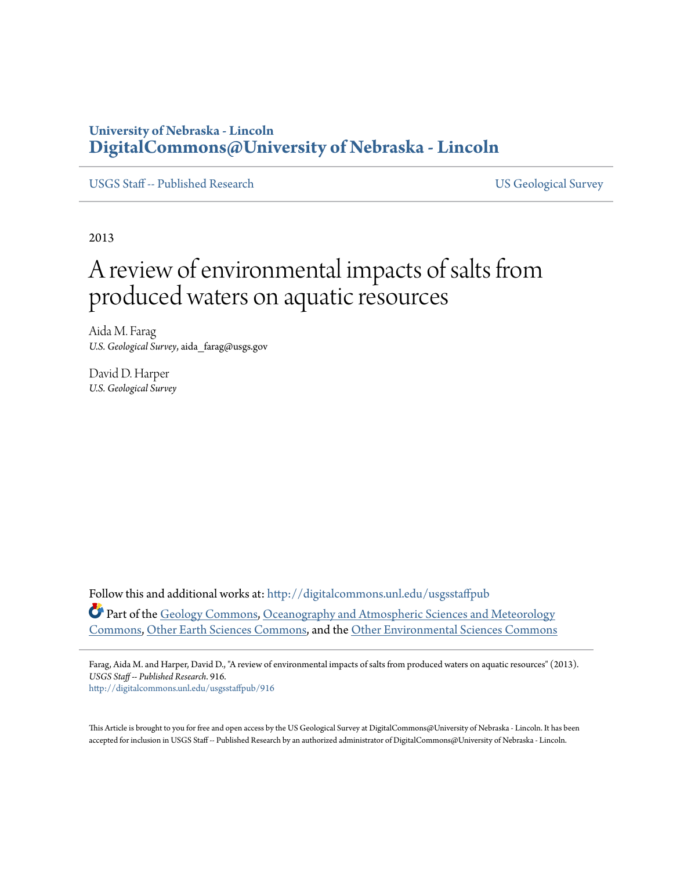### **University of Nebraska - Lincoln [DigitalCommons@University of Nebraska - Lincoln](http://digitalcommons.unl.edu?utm_source=digitalcommons.unl.edu%2Fusgsstaffpub%2F916&utm_medium=PDF&utm_campaign=PDFCoverPages)**

[USGS Staff -- Published Research](http://digitalcommons.unl.edu/usgsstaffpub?utm_source=digitalcommons.unl.edu%2Fusgsstaffpub%2F916&utm_medium=PDF&utm_campaign=PDFCoverPages) [US Geological Survey](http://digitalcommons.unl.edu/usgs?utm_source=digitalcommons.unl.edu%2Fusgsstaffpub%2F916&utm_medium=PDF&utm_campaign=PDFCoverPages)

2013

# A review of environmental impacts of salts from produced waters on aquatic resources

Aida M. Farag *U.S. Geological Survey*, aida\_farag@usgs.gov

David D. Harper *U.S. Geological Survey*

Follow this and additional works at: [http://digitalcommons.unl.edu/usgsstaffpub](http://digitalcommons.unl.edu/usgsstaffpub?utm_source=digitalcommons.unl.edu%2Fusgsstaffpub%2F916&utm_medium=PDF&utm_campaign=PDFCoverPages) Part of the [Geology Commons,](http://network.bepress.com/hgg/discipline/156?utm_source=digitalcommons.unl.edu%2Fusgsstaffpub%2F916&utm_medium=PDF&utm_campaign=PDFCoverPages) [Oceanography and Atmospheric Sciences and Meteorology](http://network.bepress.com/hgg/discipline/186?utm_source=digitalcommons.unl.edu%2Fusgsstaffpub%2F916&utm_medium=PDF&utm_campaign=PDFCoverPages) [Commons,](http://network.bepress.com/hgg/discipline/186?utm_source=digitalcommons.unl.edu%2Fusgsstaffpub%2F916&utm_medium=PDF&utm_campaign=PDFCoverPages) [Other Earth Sciences Commons](http://network.bepress.com/hgg/discipline/166?utm_source=digitalcommons.unl.edu%2Fusgsstaffpub%2F916&utm_medium=PDF&utm_campaign=PDFCoverPages), and the [Other Environmental Sciences Commons](http://network.bepress.com/hgg/discipline/173?utm_source=digitalcommons.unl.edu%2Fusgsstaffpub%2F916&utm_medium=PDF&utm_campaign=PDFCoverPages)

Farag, Aida M. and Harper, David D., "A review of environmental impacts of salts from produced waters on aquatic resources" (2013). *USGS Staff -- Published Research*. 916. [http://digitalcommons.unl.edu/usgsstaffpub/916](http://digitalcommons.unl.edu/usgsstaffpub/916?utm_source=digitalcommons.unl.edu%2Fusgsstaffpub%2F916&utm_medium=PDF&utm_campaign=PDFCoverPages)

This Article is brought to you for free and open access by the US Geological Survey at DigitalCommons@University of Nebraska - Lincoln. It has been accepted for inclusion in USGS Staff -- Published Research by an authorized administrator of DigitalCommons@University of Nebraska - Lincoln.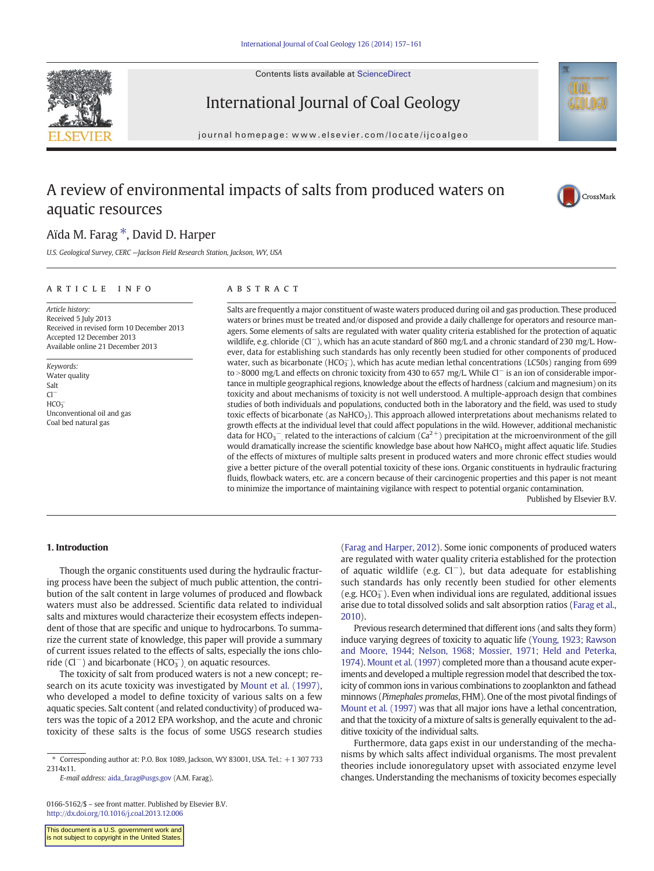Contents lists available at ScienceDirect





## International Journal of Coal Geology

journal homepage: www.elsevier.com/locate/ijcoalgeo

### A review of environmental impacts of salts from produced waters on aquatic resources



### Aïda M. Farag \*, David D. Harper

U.S. Geological Survey, CERC —Jackson Field Research Station, Jackson, WY, USA

#### article info abstract

Article history: Received 5 July 2013 Received in revised form 10 December 2013 Accepted 12 December 2013 Available online 21 December 2013

Keywords: Water quality Salt Cl<sup>−</sup>  $HCO<sub>3</sub>$ Unconventional oil and gas Coal bed natural gas

Salts are frequently a major constituent of waste waters produced during oil and gas production. These produced waters or brines must be treated and/or disposed and provide a daily challenge for operators and resource managers. Some elements of salts are regulated with water quality criteria established for the protection of aquatic wildlife, e.g. chloride (Cl<sup>−</sup>), which has an acute standard of 860 mg/L and a chronic standard of 230 mg/L. However, data for establishing such standards has only recently been studied for other components of produced water, such as bicarbonate (HCO $_3^-$ ), which has acute median lethal concentrations (LC50s) ranging from 699 to >8000 mg/L and effects on chronic toxicity from 430 to 657 mg/L. While Cl<sup>−</sup> is an ion of considerable importance in multiple geographical regions, knowledge about the effects of hardness (calcium and magnesium) on its toxicity and about mechanisms of toxicity is not well understood. A multiple-approach design that combines studies of both individuals and populations, conducted both in the laboratory and the field, was used to study toxic effects of bicarbonate (as NaHCO<sub>3</sub>). This approach allowed interpretations about mechanisms related to growth effects at the individual level that could affect populations in the wild. However, additional mechanistic data for HCO<sub>3</sub><sup>-</sup>, related to the interactions of calcium ( $Ca^{2+}$ ) precipitation at the microenvironment of the gill would dramatically increase the scientific knowledge base about how NaHCO<sub>3</sub> might affect aquatic life. Studies of the effects of mixtures of multiple salts present in produced waters and more chronic effect studies would give a better picture of the overall potential toxicity of these ions. Organic constituents in hydraulic fracturing fluids, flowback waters, etc. are a concern because of their carcinogenic properties and this paper is not meant to minimize the importance of maintaining vigilance with respect to potential organic contamination.

Published by Elsevier B.V.

### 1. Introduction

Though the organic constituents used during the hydraulic fracturing process have been the subject of much public attention, the contribution of the salt content in large volumes of produced and flowback waters must also be addressed. Scientific data related to individual salts and mixtures would characterize their ecosystem effects independent of those that are specific and unique to hydrocarbons. To summarize the current state of knowledge, this paper will provide a summary of current issues related to the effects of salts, especially the ions chloride (Cl<sup>-</sup>) and bicarbonate (HCO<sub>3</sub><sup>-</sup>), on aquatic resources.

The toxicity of salt from produced waters is not a new concept; research on its acute toxicity was investigated by Mount et al. (1997), who developed a model to define toxicity of various salts on a few aquatic species. Salt content (and related conductivity) of produced waters was the topic of a 2012 EPA workshop, and the acute and chronic toxicity of these salts is the focus of some USGS research studies

E-mail address: [aida\\_farag@usgs.gov](mailto:aida_farag@usgs.gov) (A.M. Farag).

0166-5162/\$ – see front matter. Published by Elsevier B.V. <http://dx.doi.org/10.1016/j.coal.2013.12.006>

This document is a U.S. government work and is not subject to copyright in the United States

(Farag and Harper, 2012). Some ionic components of produced waters are regulated with water quality criteria established for the protection of aquatic wildlife (e.g. Cl−), but data adequate for establishing such standards has only recently been studied for other elements  $(e.g. HCO<sub>3</sub>)$ . Even when individual ions are regulated, additional issues arise due to total dissolved solids and salt absorption ratios (Farag et al., 2010).

Previous research determined that different ions (and salts they form) induce varying degrees of toxicity to aquatic life [\(Young, 1923; Rawson](#page-5-0) [and Moore, 1944; Nelson, 1968; Mossier, 1971; Held and Peterka,](#page-5-0) [1974\)](#page-5-0). Mount et al. (1997) completed more than a thousand acute experiments and developed a multiple regression model that described the toxicity of common ions in various combinations to zooplankton and fathead minnows (Pimephales promelas, FHM). One of the most pivotal findings of Mount et al. (1997) was that all major ions have a lethal concentration, and that the toxicity of a mixture of salts is generally equivalent to the additive toxicity of the individual salts.

Furthermore, data gaps exist in our understanding of the mechanisms by which salts affect individual organisms. The most prevalent theories include ionoregulatory upset with associated enzyme level changes. Understanding the mechanisms of toxicity becomes especially

<sup>⁎</sup> Corresponding author at: P.O. Box 1089, Jackson, WY 83001, USA. Tel.: +1 307 733 2314x11.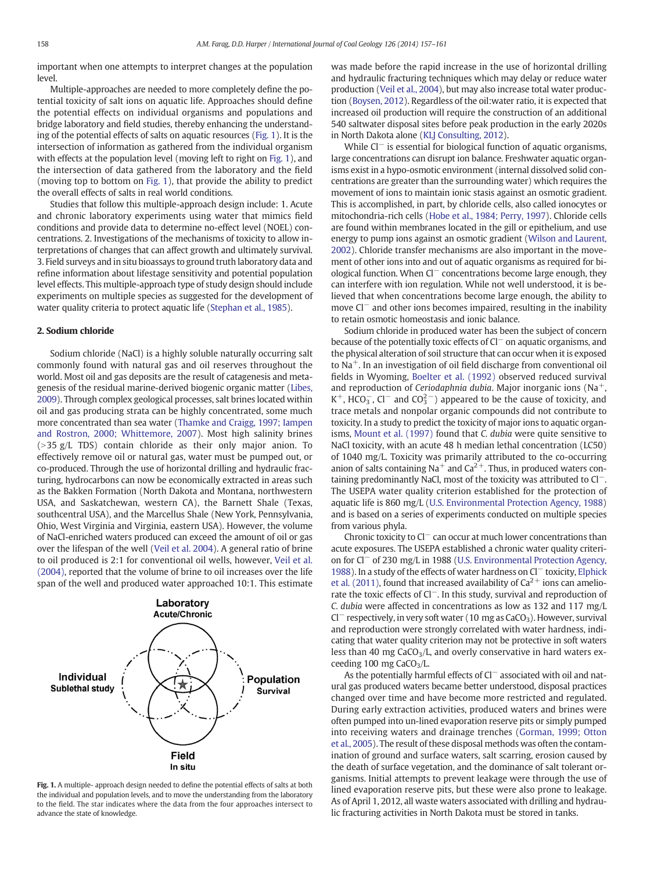important when one attempts to interpret changes at the population level.

Multiple-approaches are needed to more completely define the potential toxicity of salt ions on aquatic life. Approaches should define the potential effects on individual organisms and populations and bridge laboratory and field studies, thereby enhancing the understanding of the potential effects of salts on aquatic resources (Fig. 1). It is the intersection of information as gathered from the individual organism with effects at the population level (moving left to right on Fig. 1), and the intersection of data gathered from the laboratory and the field (moving top to bottom on Fig. 1), that provide the ability to predict the overall effects of salts in real world conditions.

Studies that follow this multiple-approach design include: 1. Acute and chronic laboratory experiments using water that mimics field conditions and provide data to determine no-effect level (NOEL) concentrations. 2. Investigations of the mechanisms of toxicity to allow interpretations of changes that can affect growth and ultimately survival. 3. Field surveys and in situ bioassays to ground truth laboratory data and refine information about lifestage sensitivity and potential population level effects. This multiple-approach type of study design should include experiments on multiple species as suggested for the development of water quality criteria to protect aquatic life (Stephan et al., 1985).

#### 2. Sodium chloride

Sodium chloride (NaCl) is a highly soluble naturally occurring salt commonly found with natural gas and oil reserves throughout the world. Most oil and gas deposits are the result of catagenesis and metagenesis of the residual marine-derived biogenic organic matter (Libes, 2009). Through complex geological processes, salt brines located within oil and gas producing strata can be highly concentrated, some much more concentrated than sea water [\(Thamke and Craigg, 1997; Iampen](#page-5-0) [and Rostron, 2000; Whittemore, 2007\)](#page-5-0). Most high salinity brines  $(>35 \text{ g/L}$  TDS) contain chloride as their only major anion. To effectively remove oil or natural gas, water must be pumped out, or co-produced. Through the use of horizontal drilling and hydraulic fracturing, hydrocarbons can now be economically extracted in areas such as the Bakken Formation (North Dakota and Montana, northwestern USA, and Saskatchewan, western CA), the Barnett Shale (Texas, southcentral USA), and the Marcellus Shale (New York, Pennsylvania, Ohio, West Virginia and Virginia, eastern USA). However, the volume of NaCl-enriched waters produced can exceed the amount of oil or gas over the lifespan of the well (Veil et al. 2004). A general ratio of brine to oil produced is 2:1 for conventional oil wells, however, Veil et al. (2004), reported that the volume of brine to oil increases over the life span of the well and produced water approached 10:1. This estimate



Fig. 1. A multiple- approach design needed to define the potential effects of salts at both the individual and population levels, and to move the understanding from the laboratory to the field. The star indicates where the data from the four approaches intersect to advance the state of knowledge.

was made before the rapid increase in the use of horizontal drilling and hydraulic fracturing techniques which may delay or reduce water production (Veil et al., 2004), but may also increase total water production (Boysen, 2012). Regardless of the oil:water ratio, it is expected that increased oil production will require the construction of an additional 540 saltwater disposal sites before peak production in the early 2020s in North Dakota alone (KLJ Consulting, 2012).

While Cl<sup>−</sup> is essential for biological function of aquatic organisms, large concentrations can disrupt ion balance. Freshwater aquatic organisms exist in a hypo-osmotic environment (internal dissolved solid concentrations are greater than the surrounding water) which requires the movement of ions to maintain ionic stasis against an osmotic gradient. This is accomplished, in part, by chloride cells, also called ionocytes or mitochondria-rich cells ([Hobe et al., 1984; Perry, 1997](#page-4-0)). Chloride cells are found within membranes located in the gill or epithelium, and use energy to pump ions against an osmotic gradient (Wilson and Laurent, 2002). Chloride transfer mechanisms are also important in the movement of other ions into and out of aquatic organisms as required for biological function. When Cl<sup>−</sup> concentrations become large enough, they can interfere with ion regulation. While not well understood, it is believed that when concentrations become large enough, the ability to move Cl<sup>−</sup> and other ions becomes impaired, resulting in the inability to retain osmotic homeostasis and ionic balance.

Sodium chloride in produced water has been the subject of concern because of the potentially toxic effects of Cl<sup>−</sup> on aquatic organisms, and the physical alteration of soil structure that can occur when it is exposed to Na+. In an investigation of oil field discharge from conventional oil fields in Wyoming, Boelter et al. (1992) observed reduced survival and reproduction of Ceriodaphnia dubia. Major inorganic ions (Na<sup>+</sup>, K<sup>+</sup>, HCO<sub>3</sub>, Cl<sup>-</sup> and CO<sub>3</sub><sup>-</sup>) appeared to be the cause of toxicity, and trace metals and nonpolar organic compounds did not contribute to toxicity. In a study to predict the toxicity of major ions to aquatic organisms, Mount et al. (1997) found that C. dubia were quite sensitive to NaCl toxicity, with an acute 48 h median lethal concentration (LC50) of 1040 mg/L. Toxicity was primarily attributed to the co-occurring anion of salts containing  $Na<sup>+</sup>$  and  $Ca<sup>2+</sup>$ . Thus, in produced waters containing predominantly NaCl, most of the toxicity was attributed to Cl−. The USEPA water quality criterion established for the protection of aquatic life is 860 mg/L (U.S. Environmental Protection Agency, 1988) and is based on a series of experiments conducted on multiple species from various phyla.

Chronic toxicity to Cl<sup>−</sup> can occur at much lower concentrations than acute exposures. The USEPA established a chronic water quality criterion for Cl<sup>−</sup> of 230 mg/L in 1988 (U.S. Environmental Protection Agency, 1988). In a study of the effects of water hardness on Cl<sup>−</sup> toxicity, Elphick et al. (2011), found that increased availability of  $Ca^{2+}$  ions can ameliorate the toxic effects of Cl−. In this study, survival and reproduction of C. dubia were affected in concentrations as low as 132 and 117 mg/L  $Cl^-$  respectively, in very soft water (10 mg as  $CaCO<sub>3</sub>$ ). However, survival and reproduction were strongly correlated with water hardness, indicating that water quality criterion may not be protective in soft waters less than 40 mg  $CaCO<sub>3</sub>/L$ , and overly conservative in hard waters exceeding 100 mg  $CaCO<sub>3</sub>/L$ .

As the potentially harmful effects of Cl<sup>−</sup> associated with oil and natural gas produced waters became better understood, disposal practices changed over time and have become more restricted and regulated. During early extraction activities, produced waters and brines were often pumped into un-lined evaporation reserve pits or simply pumped into receiving waters and drainage trenches [\(Gorman, 1999; Otton](#page-4-0) [et al., 2005](#page-4-0)). The result of these disposal methods was often the contamination of ground and surface waters, salt scarring, erosion caused by the death of surface vegetation, and the dominance of salt tolerant organisms. Initial attempts to prevent leakage were through the use of lined evaporation reserve pits, but these were also prone to leakage. As of April 1, 2012, all waste waters associated with drilling and hydraulic fracturing activities in North Dakota must be stored in tanks.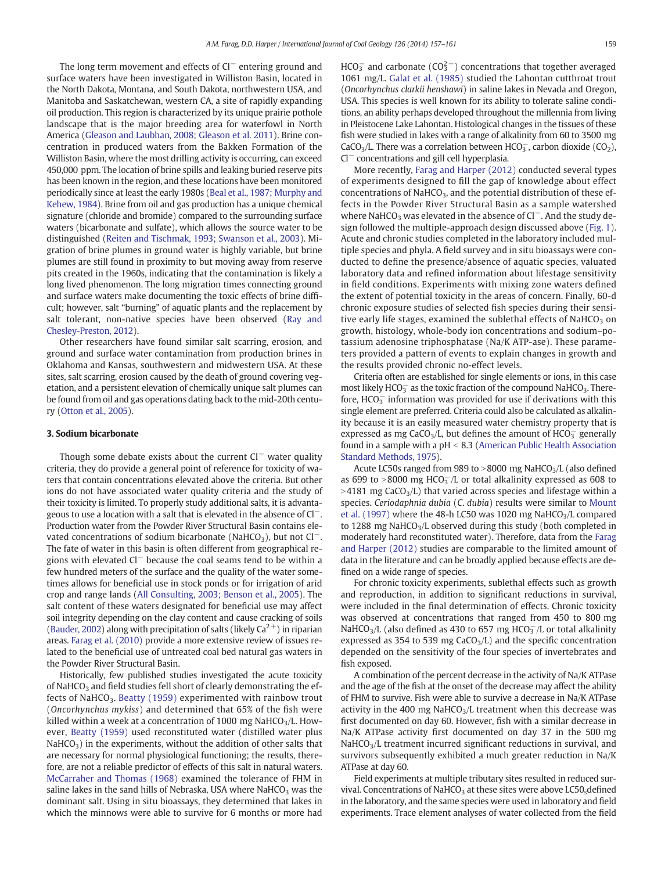The long term movement and effects of Cl<sup>−</sup> entering ground and surface waters have been investigated in Williston Basin, located in the North Dakota, Montana, and South Dakota, northwestern USA, and Manitoba and Saskatchewan, western CA, a site of rapidly expanding oil production. This region is characterized by its unique prairie pothole landscape that is the major breeding area for waterfowl in North America ([Gleason and Laubhan, 2008; Gleason et al. 2011](#page-4-0)). Brine concentration in produced waters from the Bakken Formation of the Williston Basin, where the most drilling activity is occurring, can exceed 450,000 ppm. The location of brine spills and leaking buried reserve pits has been known in the region, and these locations have been monitored periodically since at least the early 1980s [\(Beal et al., 1987; Murphy and](#page-4-0) [Kehew, 1984](#page-4-0)). Brine from oil and gas production has a unique chemical signature (chloride and bromide) compared to the surrounding surface waters (bicarbonate and sulfate), which allows the source water to be distinguished ([Reiten and Tischmak, 1993; Swanson et al., 2003](#page-5-0)). Migration of brine plumes in ground water is highly variable, but brine plumes are still found in proximity to but moving away from reserve pits created in the 1960s, indicating that the contamination is likely a long lived phenomenon. The long migration times connecting ground and surface waters make documenting the toxic effects of brine difficult; however, salt "burning" of aquatic plants and the replacement by salt tolerant, non-native species have been observed (Ray and Chesley-Preston, 2012).

Other researchers have found similar salt scarring, erosion, and ground and surface water contamination from production brines in Oklahoma and Kansas, southwestern and midwestern USA. At these sites, salt scarring, erosion caused by the death of ground covering vegetation, and a persistent elevation of chemically unique salt plumes can be found from oil and gas operations dating back to the mid-20th century (Otton et al., 2005).

#### 3. Sodium bicarbonate

Though some debate exists about the current Cl<sup>−</sup> water quality criteria, they do provide a general point of reference for toxicity of waters that contain concentrations elevated above the criteria. But other ions do not have associated water quality criteria and the study of their toxicity is limited. To properly study additional salts, it is advantageous to use a location with a salt that is elevated in the absence of Cl−. Production water from the Powder River Structural Basin contains elevated concentrations of sodium bicarbonate (NaHCO3), but not  $Cl^-$ . The fate of water in this basin is often different from geographical regions with elevated Cl<sup>−</sup> because the coal seams tend to be within a few hundred meters of the surface and the quality of the water sometimes allows for beneficial use in stock ponds or for irrigation of arid crop and range lands [\(All Consulting, 2003; Benson et al., 2005\)](#page-4-0). The salt content of these waters designated for beneficial use may affect soil integrity depending on the clay content and cause cracking of soils (Bauder, 2002) along with precipitation of salts (likely  $Ca^{2+}$ ) in riparian areas. Farag et al. (2010) provide a more extensive review of issues related to the beneficial use of untreated coal bed natural gas waters in the Powder River Structural Basin.

Historically, few published studies investigated the acute toxicity of NaHCO<sub>3</sub> and field studies fell short of clearly demonstrating the effects of NaHCO<sub>3</sub>. Beatty (1959) experimented with rainbow trout (Oncorhynchus mykiss) and determined that 65% of the fish were killed within a week at a concentration of 1000 mg NaHCO $_3$ /L. However, Beatty (1959) used reconstituted water (distilled water plus  $NaHCO<sub>3</sub>$ ) in the experiments, without the addition of other salts that are necessary for normal physiological functioning; the results, therefore, are not a reliable predictor of effects of this salt in natural waters. McCarraher and Thomas (1968) examined the tolerance of FHM in saline lakes in the sand hills of Nebraska, USA where NaHCO<sub>3</sub> was the dominant salt. Using in situ bioassays, they determined that lakes in which the minnows were able to survive for 6 months or more had

HCO $_3^-$  and carbonate (CO $_3^{2-}$ ) concentrations that together averaged 1061 mg/L. Galat et al. (1985) studied the Lahontan cutthroat trout (Oncorhynchus clarkii henshawi) in saline lakes in Nevada and Oregon, USA. This species is well known for its ability to tolerate saline conditions, an ability perhaps developed throughout the millennia from living in Pleistocene Lake Lahontan. Histological changes in the tissues of these fish were studied in lakes with a range of alkalinity from 60 to 3500 mg CaCO<sub>3</sub>/L. There was a correlation between HCO $_3^-$ , carbon dioxide (CO<sub>2</sub>), Cl<sup>−</sup> concentrations and gill cell hyperplasia.

More recently, Farag and Harper (2012) conducted several types of experiments designed to fill the gap of knowledge about effect concentrations of NaHCO<sub>3</sub>, and the potential distribution of these effects in the Powder River Structural Basin as a sample watershed where NaHCO<sub>3</sub> was elevated in the absence of Cl<sup>−</sup>. And the study design followed the multiple-approach design discussed above (Fig. 1). Acute and chronic studies completed in the laboratory included multiple species and phyla. A field survey and in situ bioassays were conducted to define the presence/absence of aquatic species, valuated laboratory data and refined information about lifestage sensitivity in field conditions. Experiments with mixing zone waters defined the extent of potential toxicity in the areas of concern. Finally, 60-d chronic exposure studies of selected fish species during their sensitive early life stages, examined the sublethal effects of NaHCO<sub>3</sub> on growth, histology, whole-body ion concentrations and sodium–potassium adenosine triphosphatase (Na/K ATP-ase). These parameters provided a pattern of events to explain changes in growth and the results provided chronic no-effect levels.

Criteria often are established for single elements or ions, in this case most likely HCO $_3^-$  as the toxic fraction of the compound NaHCO<sub>3</sub>. Therefore,  $HCO_3^-$  information was provided for use if derivations with this single element are preferred. Criteria could also be calculated as alkalinity because it is an easily measured water chemistry property that is expressed as mg CaCO<sub>3</sub>/L, but defines the amount of  $HCO_3^-$  generally found in a sample with a  $pH < 8.3$  (American Public Health Association Standard Methods, 1975).

Acute LC50s ranged from 989 to  $>8000$  mg NaHCO<sub>3</sub>/L (also defined as 699 to >8000 mg  $HCO_3^-/L$  or total alkalinity expressed as 608 to  $>4181$  mg CaCO<sub>3</sub>/L) that varied across species and lifestage within a species. Ceriodaphnia dubia (C. dubia) results were similar to Mount et al. (1997) where the 48-h LC50 was 1020 mg NaHCO $3/L$  compared to 1288 mg NaHCO<sub>3</sub>/L observed during this study (both completed in moderately hard reconstituted water). Therefore, data from the Farag and Harper (2012) studies are comparable to the limited amount of data in the literature and can be broadly applied because effects are defined on a wide range of species.

For chronic toxicity experiments, sublethal effects such as growth and reproduction, in addition to significant reductions in survival, were included in the final determination of effects. Chronic toxicity was observed at concentrations that ranged from 450 to 800 mg NaHCO<sub>3</sub>/L (also defined as 430 to 657 mg HCO $_3$ /L or total alkalinity expressed as 354 to 539 mg  $CaCO<sub>3</sub>/L$ ) and the specific concentration depended on the sensitivity of the four species of invertebrates and fish exposed.

A combination of the percent decrease in the activity of Na/K ATPase and the age of the fish at the onset of the decrease may affect the ability of FHM to survive. Fish were able to survive a decrease in Na/K ATPase activity in the 400 mg NaHCO<sub>3</sub>/L treatment when this decrease was first documented on day 60. However, fish with a similar decrease in Na/K ATPase activity first documented on day 37 in the 500 mg  $NaHCO<sub>3</sub>/L$  treatment incurred significant reductions in survival, and survivors subsequently exhibited a much greater reduction in Na/K ATPase at day 60.

Field experiments at multiple tributary sites resulted in reduced survival. Concentrations of NaHCO<sub>3</sub> at these sites were above LC50<sub>s</sub>defined in the laboratory, and the same species were used in laboratory and field experiments. Trace element analyses of water collected from the field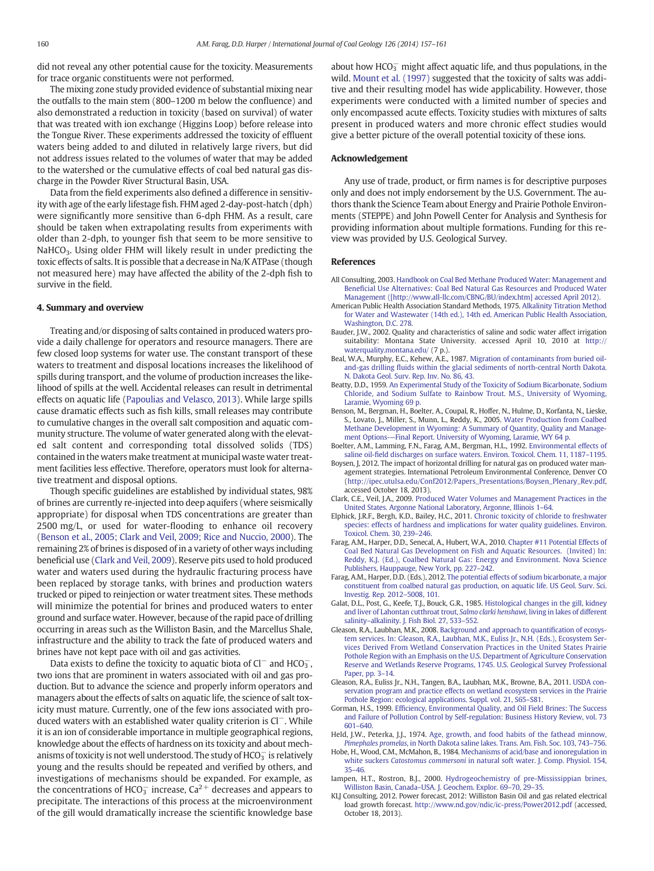<span id="page-4-0"></span>did not reveal any other potential cause for the toxicity. Measurements for trace organic constituents were not performed.

The mixing zone study provided evidence of substantial mixing near the outfalls to the main stem (800–1200 m below the confluence) and also demonstrated a reduction in toxicity (based on survival) of water that was treated with ion exchange (Higgins Loop) before release into the Tongue River. These experiments addressed the toxicity of effluent waters being added to and diluted in relatively large rivers, but did not address issues related to the volumes of water that may be added to the watershed or the cumulative effects of coal bed natural gas discharge in the Powder River Structural Basin, USA.

Data from the field experiments also defined a difference in sensitivity with age of the early lifestage fish. FHM aged 2-day-post-hatch (dph) were significantly more sensitive than 6-dph FHM. As a result, care should be taken when extrapolating results from experiments with older than 2-dph, to younger fish that seem to be more sensitive to  $NaHCO<sub>3</sub>$ . Using older FHM will likely result in under predicting the toxic effects of salts. It is possible that a decrease in Na/K ATPase (though not measured here) may have affected the ability of the 2-dph fish to survive in the field.

#### 4. Summary and overview

Treating and/or disposing of salts contained in produced waters provide a daily challenge for operators and resource managers. There are few closed loop systems for water use. The constant transport of these waters to treatment and disposal locations increases the likelihood of spills during transport, and the volume of production increases the likelihood of spills at the well. Accidental releases can result in detrimental effects on aquatic life (Papoulias and Velasco, 2013). While large spills cause dramatic effects such as fish kills, small releases may contribute to cumulative changes in the overall salt composition and aquatic community structure. The volume of water generated along with the elevated salt content and corresponding total dissolved solids (TDS) contained in the waters make treatment at municipal waste water treatment facilities less effective. Therefore, operators must look for alternative treatment and disposal options.

Though specific guidelines are established by individual states, 98% of brines are currently re-injected into deep aquifers (where seismically appropriate) for disposal when TDS concentrations are greater than 2500 mg/L, or used for water-flooding to enhance oil recovery (Benson et al., 2005; Clark and Veil, 2009; Rice and Nuccio, 2000). The remaining 2% of brines is disposed of in a variety of other ways including beneficial use (Clark and Veil, 2009). Reserve pits used to hold produced water and waters used during the hydraulic fracturing process have been replaced by storage tanks, with brines and production waters trucked or piped to reinjection or water treatment sites. These methods will minimize the potential for brines and produced waters to enter ground and surface water. However, because of the rapid pace of drilling occurring in areas such as the Williston Basin, and the Marcellus Shale, infrastructure and the ability to track the fate of produced waters and brines have not kept pace with oil and gas activities.

Data exists to define the toxicity to aquatic biota of  $Cl^-$  and HCO<sub>3</sub>, two ions that are prominent in waters associated with oil and gas production. But to advance the science and properly inform operators and managers about the effects of salts on aquatic life, the science of salt toxicity must mature. Currently, one of the few ions associated with produced waters with an established water quality criterion is Cl−. While it is an ion of considerable importance in multiple geographical regions, knowledge about the effects of hardness on its toxicity and about mechanisms of toxicity is not well understood. The study of HCO $_3^-$  is relatively young and the results should be repeated and verified by others, and investigations of mechanisms should be expanded. For example, as the concentrations of HCO<sub>3</sub> increase, Ca<sup>2+</sup> decreases and appears to precipitate. The interactions of this process at the microenvironment of the gill would dramatically increase the scientific knowledge base about how  $HCO<sub>3</sub><sup>-</sup>$  might affect aquatic life, and thus populations, in the wild. Mount et al. (1997) suggested that the toxicity of salts was additive and their resulting model has wide applicability. However, those experiments were conducted with a limited number of species and only encompassed acute effects. Toxicity studies with mixtures of salts present in produced waters and more chronic effect studies would give a better picture of the overall potential toxicity of these ions.

#### Acknowledgement

Any use of trade, product, or firm names is for descriptive purposes only and does not imply endorsement by the U.S. Government. The authors thank the Science Team about Energy and Prairie Pothole Environments (STEPPE) and John Powell Center for Analysis and Synthesis for providing information about multiple formations. Funding for this review was provided by U.S. Geological Survey.

#### References

- All Consulting, 2003. [Handbook on Coal Bed Methane Produced Water: Management and](http://refhub.elsevier.com/S0166-5162(13)00273-5/rf0110) Benefi[cial Use Alternatives: Coal Bed Natural Gas Resources and Produced Water](http://refhub.elsevier.com/S0166-5162(13)00273-5/rf0110) [Management \(\[http://www.all-llc.com/CBNG/BU/index.htm\] accessed April 2012\).](http://refhub.elsevier.com/S0166-5162(13)00273-5/rf0110)
- American Public Health Association Standard Methods, 1975. [Alkalinity Titration Method](http://refhub.elsevier.com/S0166-5162(13)00273-5/rf0010) [for Water and Wastewater \(14th ed.\), 14th ed. American Public Health Association,](http://refhub.elsevier.com/S0166-5162(13)00273-5/rf0010) [Washington, D.C. 278.](http://refhub.elsevier.com/S0166-5162(13)00273-5/rf0010)
- Bauder, J.W., 2002. Quality and characteristics of saline and sodic water affect irrigation suitability: Montana State University. accessed April 10, 2010 at [http://](http://waterquality.montana.edu/) [waterquality.montana.edu/](http://waterquality.montana.edu/) (7 p.).
- Beal, W.A., Murphy, E.C., Kehew, A.E., 1987. [Migration of contaminants from buried oil](http://refhub.elsevier.com/S0166-5162(13)00273-5/rf9050)and-gas drilling fl[uids within the glacial sediments of north-central North Dakota.](http://refhub.elsevier.com/S0166-5162(13)00273-5/rf9050) [N. Dakota Geol. Surv. Rep. Inv. No. 86, 43](http://refhub.elsevier.com/S0166-5162(13)00273-5/rf9050).
- Beatty, D.D., 1959. [An Experimental Study of the Toxicity of Sodium Bicarbonate, Sodium](http://refhub.elsevier.com/S0166-5162(13)00273-5/rf9000) [Chloride, and Sodium Sulfate to Rainbow Trout. M.S., University of Wyoming,](http://refhub.elsevier.com/S0166-5162(13)00273-5/rf9000) [Laramie, Wyoming 69 p](http://refhub.elsevier.com/S0166-5162(13)00273-5/rf9000).
- Benson, M., Bergman, H., Boelter, A., Coupal, R., Hoffer, N., Hulme, D., Korfanta, N., Lieske, S., Lovato, J., Miller, S., Munn, L., Reddy, K., 2005. [Water Production from Coalbed](http://refhub.elsevier.com/S0166-5162(13)00273-5/rf9508) [Methane Development in Wyoming: A Summary of Quantity, Quality and Manage](http://refhub.elsevier.com/S0166-5162(13)00273-5/rf9508)ment Options-—[Final Report. University of Wyoming, Laramie, WY 64 p](http://refhub.elsevier.com/S0166-5162(13)00273-5/rf9508).
- Boelter, A.M., Lamming, F.N., Farag, A.M., Bergman, H.L., 1992. [Environmental effects of](http://refhub.elsevier.com/S0166-5162(13)00273-5/rf0025) saline oil-fi[eld discharges on surface waters. Environ. Toxicol. Chem. 11, 1187](http://refhub.elsevier.com/S0166-5162(13)00273-5/rf0025)–1195.
- Boysen, J, 2012. The impact of horizontal drilling for natural gas on produced water management strategies. International Petroleum Environmental Conference, Denver CO ([http://ipec.utulsa.edu/Conf2012/Papers\\_Presentations/Boysen\\_Plenary\\_Rev.pdf](http://waterquality.montana.edu/), accessed October 18, 2013).
- Clark, C.E., Veil, J.A., 2009. [Produced Water Volumes and Management Practices in the](http://refhub.elsevier.com/S0166-5162(13)00273-5/rf9650) [United States. Argonne National Laboratory, Argonne, Illinois 1](http://refhub.elsevier.com/S0166-5162(13)00273-5/rf9650)–64.
- Elphick, J.R.F., Bergh, K.D., Bailey, H.C., 2011. [Chronic toxicity of chloride to freshwater](http://refhub.elsevier.com/S0166-5162(13)00273-5/rf0035) [species: effects of hardness and implications for water quality guidelines. Environ.](http://refhub.elsevier.com/S0166-5162(13)00273-5/rf0035) [Toxicol. Chem. 30, 239](http://refhub.elsevier.com/S0166-5162(13)00273-5/rf0035)–246.
- Farag, A.M., Harper, D.D., Senecal, A., Hubert, W.A., 2010. [Chapter #11 Potential Effects of](http://refhub.elsevier.com/S0166-5162(13)00273-5/rf0135) [Coal Bed Natural Gas Development on Fish and Aquatic Resources. \(Invited\) In:](http://refhub.elsevier.com/S0166-5162(13)00273-5/rf0135) [Reddy, K.J. \(Ed.\), Coalbed Natural Gas: Energy and Environment. Nova Science](http://refhub.elsevier.com/S0166-5162(13)00273-5/rf0135) [Publishers, Hauppauge, New York, pp. 227](http://refhub.elsevier.com/S0166-5162(13)00273-5/rf0135)–242.
- Farag, A.M., Harper, D.D. (Eds.), 2012. [The potential effects of sodium bicarbonate, a major](http://refhub.elsevier.com/S0166-5162(13)00273-5/rf0140) [constituent from coalbed natural gas production, on aquatic life. US Geol. Surv. Sci.](http://refhub.elsevier.com/S0166-5162(13)00273-5/rf0140) [Investig. Rep. 2012](http://refhub.elsevier.com/S0166-5162(13)00273-5/rf0140)–5008, 101.
- Galat, D.L., Post, G., Keefe, T.J., Bouck, G.R., 1985. [Histological changes in the gill, kidney](http://refhub.elsevier.com/S0166-5162(13)00273-5/rf0045) [and liver of Lahontan cutthroat trout,](http://refhub.elsevier.com/S0166-5162(13)00273-5/rf0045) Salmo clarki henshawi, living in lakes of different salinity–[alkalinity. J. Fish Biol. 27, 533](http://refhub.elsevier.com/S0166-5162(13)00273-5/rf0045)–552.
- Gleason, R.A., Laubhan, M.K., 2008. [Background and approach to quanti](http://refhub.elsevier.com/S0166-5162(13)00273-5/rf0255)fication of ecosys[tem services. In: Gleason, R.A., Laubhan, M.K., Euliss Jr., N.H. \(Eds.\), Ecosystem Ser](http://refhub.elsevier.com/S0166-5162(13)00273-5/rf0255)[vices Derived From Wetland Conservation Practices in the United States Prairie](http://refhub.elsevier.com/S0166-5162(13)00273-5/rf0255) [Pothole Region with an Emphasis on the U.S. Department of Agriculture Conservation](http://refhub.elsevier.com/S0166-5162(13)00273-5/rf0255) [Reserve and Wetlands Reserve Programs, 1745. U.S. Geological Survey Professional](http://refhub.elsevier.com/S0166-5162(13)00273-5/rf0255) [Paper, pp. 3](http://refhub.elsevier.com/S0166-5162(13)00273-5/rf0255)–14.
- Gleason, R.A., Euliss Jr., N.H., Tangen, B.A., Laubhan, M.K., Browne, B.A., 2011. [USDA con](http://refhub.elsevier.com/S0166-5162(13)00273-5/rf0160)[servation program and practice effects on wetland ecosystem services in the Prairie](http://refhub.elsevier.com/S0166-5162(13)00273-5/rf0160) [Pothole Region: ecological applications. Suppl. vol. 21, S65](http://refhub.elsevier.com/S0166-5162(13)00273-5/rf0160)–S81.
- Gorman, H.S., 1999. Effi[ciency, Environmental Quality, and Oil Field Brines: The Success](http://refhub.elsevier.com/S0166-5162(13)00273-5/rf0145) [and Failure of Pollution Control by Self-regulation: Business History Review, vol. 73](http://refhub.elsevier.com/S0166-5162(13)00273-5/rf0145) 601–[640.](http://refhub.elsevier.com/S0166-5162(13)00273-5/rf0145)
- Held, J.W., Peterka, J.J., 1974. [Age, growth, and food habits of the fathead minnow,](http://refhub.elsevier.com/S0166-5162(13)00273-5/rf0055) Pimephales promelas[, in North Dakota saline lakes. Trans. Am. Fish. Soc. 103, 743](http://refhub.elsevier.com/S0166-5162(13)00273-5/rf0055)–756.
- Hobe, H., Wood, C.M., McMahon, B., 1984. [Mechanisms of acid/base and ionoregulation in](http://refhub.elsevier.com/S0166-5162(13)00273-5/rf0060) white suckers Catostomus commersoni [in natural soft water. J. Comp. Physiol. 154,](http://refhub.elsevier.com/S0166-5162(13)00273-5/rf0060) [35](http://refhub.elsevier.com/S0166-5162(13)00273-5/rf0060)–46.
- Iampen, H.T., Rostron, B.J., 2000. [Hydrogeochemistry of pre-Mississippian brines,](http://refhub.elsevier.com/S0166-5162(13)00273-5/rf9560) Williston Basin, Canada–[USA. J. Geochem. Explor. 69](http://refhub.elsevier.com/S0166-5162(13)00273-5/rf9560)–70, 29–35.
- KLJ Consulting, 2012. Power forecast, 2012: Williston Basin Oil and gas related electrical load growth forecast. <http://www.nd.gov/ndic/ic-press/Power2012.pdf> (accessed, October 18, 2013).